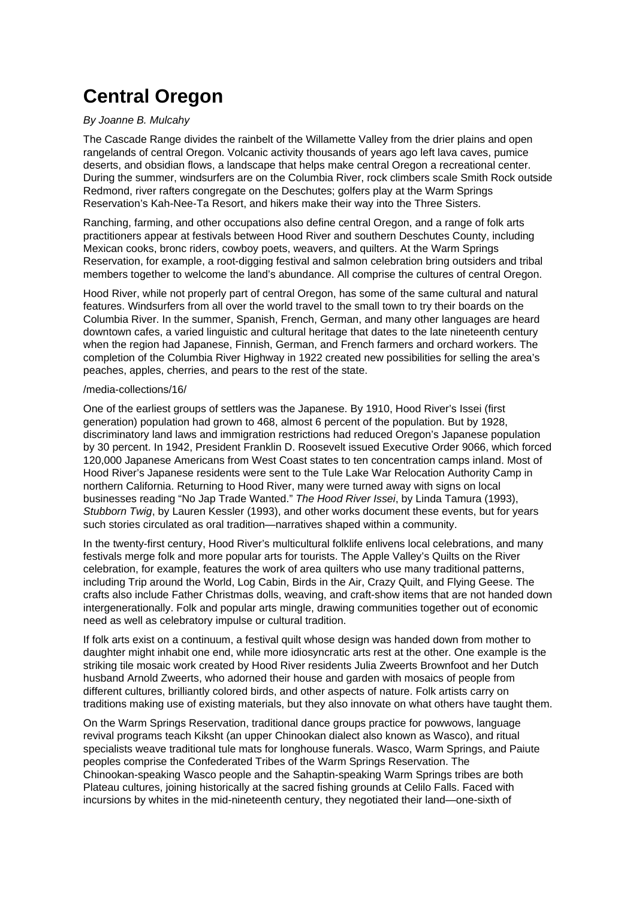# **Central Oregon**

# By Joanne B. Mulcahy

The Cascade Range divides the rainbelt of the Willamette Valley from the drier plains and open rangelands of central Oregon. Volcanic activity thousands of years ago left lava caves, pumice deserts, and obsidian flows, a landscape that helps make central Oregon a recreational center. During the summer, windsurfers are on the Columbia River, rock climbers scale Smith Rock outside Redmond, river rafters congregate on the Deschutes; golfers play at the Warm Springs Reservation's Kah-Nee-Ta Resort, and hikers make their way into the Three Sisters.

Ranching, farming, and other occupations also define central Oregon, and a range of folk arts practitioners appear at festivals between Hood River and southern Deschutes County, including Mexican cooks, bronc riders, cowboy poets, weavers, and quilters. At the Warm Springs Reservation, for example, a root-digging festival and salmon celebration bring outsiders and tribal members together to welcome the land's abundance. All comprise the cultures of central Oregon.

Hood River, while not properly part of central Oregon, has some of the same cultural and natural features. Windsurfers from all over the world travel to the small town to try their boards on the Columbia River. In the summer, Spanish, French, German, and many other languages are heard downtown cafes, a varied linguistic and cultural heritage that dates to the late nineteenth century when the region had Japanese, Finnish, German, and French farmers and orchard workers. The completion of the Columbia River Highway in 1922 created new possibilities for selling the area's peaches, apples, cherries, and pears to the rest of the state.

#### /media-collections/16/

One of the earliest groups of settlers was the Japanese. By 1910, Hood River's Issei (first generation) population had grown to 468, almost 6 percent of the population. But by 1928, discriminatory land laws and immigration restrictions had reduced Oregon's Japanese population by 30 percent. In 1942, President Franklin D. Roosevelt issued Executive Order 9066, which forced 120,000 Japanese Americans from West Coast states to ten concentration camps inland. Most of Hood River's Japanese residents were sent to the Tule Lake War Relocation Authority Camp in northern California. Returning to Hood River, many were turned away with signs on local businesses reading "No Jap Trade Wanted." The Hood River Issei, by Linda Tamura (1993), Stubborn Twig, by Lauren Kessler (1993), and other works document these events, but for years such stories circulated as oral tradition—narratives shaped within a community.

In the twenty-first century, Hood River's multicultural folklife enlivens local celebrations, and many festivals merge folk and more popular arts for tourists. The Apple Valley's Quilts on the River celebration, for example, features the work of area quilters who use many traditional patterns, including Trip around the World, Log Cabin, Birds in the Air, Crazy Quilt, and Flying Geese. The crafts also include Father Christmas dolls, weaving, and craft-show items that are not handed down intergenerationally. Folk and popular arts mingle, drawing communities together out of economic need as well as celebratory impulse or cultural tradition.

If folk arts exist on a continuum, a festival quilt whose design was handed down from mother to daughter might inhabit one end, while more idiosyncratic arts rest at the other. One example is the striking tile mosaic work created by Hood River residents Julia Zweerts Brownfoot and her Dutch husband Arnold Zweerts, who adorned their house and garden with mosaics of people from different cultures, brilliantly colored birds, and other aspects of nature. Folk artists carry on traditions making use of existing materials, but they also innovate on what others have taught them.

On the Warm Springs Reservation, traditional dance groups practice for powwows, language revival programs teach Kiksht (an upper Chinookan dialect also known as Wasco), and ritual specialists weave traditional tule mats for longhouse funerals. Wasco, Warm Springs, and Paiute peoples comprise the Confederated Tribes of the Warm Springs Reservation. The Chinookan-speaking Wasco people and the Sahaptin-speaking Warm Springs tribes are both Plateau cultures, joining historically at the sacred fishing grounds at Celilo Falls. Faced with incursions by whites in the mid-nineteenth century, they negotiated their land—one-sixth of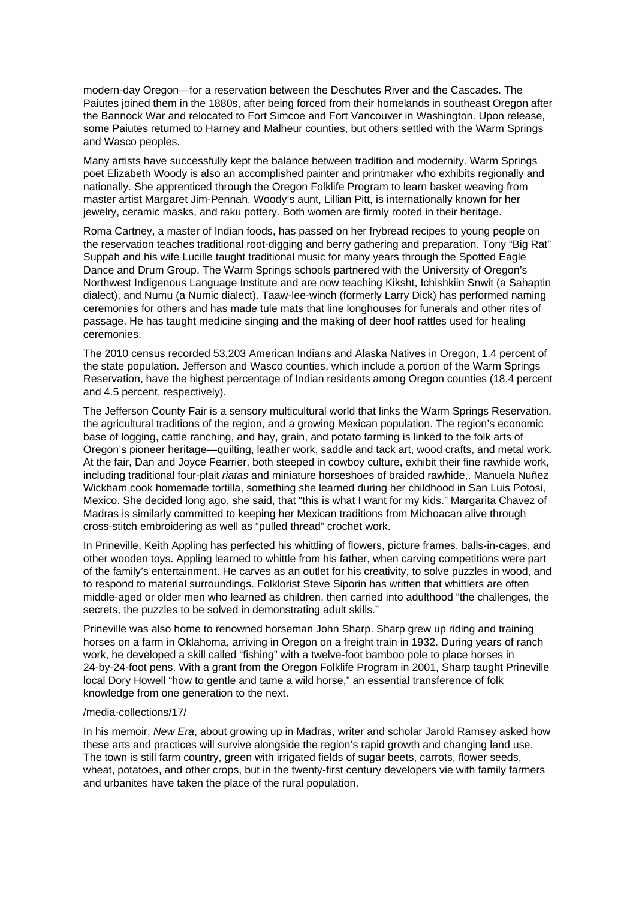modern-day Oregon—for a reservation between the Deschutes River and the Cascades. The Paiutes joined them in the 1880s, after being forced from their homelands in southeast Oregon after the Bannock War and relocated to Fort Simcoe and Fort Vancouver in Washington. Upon release, some Paiutes returned to Harney and Malheur counties, but others settled with the Warm Springs and Wasco peoples.

Many artists have successfully kept the balance between tradition and modernity. Warm Springs poet Elizabeth Woody is also an accomplished painter and printmaker who exhibits regionally and nationally. She apprenticed through the Oregon Folklife Program to learn basket weaving from master artist Margaret Jim-Pennah. Woody's aunt, Lillian Pitt, is internationally known for her jewelry, ceramic masks, and raku pottery. Both women are firmly rooted in their heritage.

Roma Cartney, a master of Indian foods, has passed on her frybread recipes to young people on the reservation teaches traditional root-digging and berry gathering and preparation. Tony "Big Rat" Suppah and his wife Lucille taught traditional music for many years through the Spotted Eagle Dance and Drum Group. The Warm Springs schools partnered with the University of Oregon's Northwest Indigenous Language Institute and are now teaching Kiksht, Ichishkiin Snwit (a Sahaptin dialect), and Numu (a Numic dialect). Taaw-lee-winch (formerly Larry Dick) has performed naming ceremonies for others and has made tule mats that line longhouses for funerals and other rites of passage. He has taught medicine singing and the making of deer hoof rattles used for healing ceremonies.

The 2010 census recorded 53,203 American Indians and Alaska Natives in Oregon, 1.4 percent of the state population. Jefferson and Wasco counties, which include a portion of the Warm Springs Reservation, have the highest percentage of Indian residents among Oregon counties (18.4 percent and 4.5 percent, respectively).

The Jefferson County Fair is a sensory multicultural world that links the Warm Springs Reservation, the agricultural traditions of the region, and a growing Mexican population. The region's economic base of logging, cattle ranching, and hay, grain, and potato farming is linked to the folk arts of Oregon's pioneer heritage—quilting, leather work, saddle and tack art, wood crafts, and metal work. At the fair, Dan and Joyce Fearrier, both steeped in cowboy culture, exhibit their fine rawhide work, including traditional four-plait riatas and miniature horseshoes of braided rawhide,. Manuela Nuñez Wickham cook homemade tortilla, something she learned during her childhood in San Luis Potosi, Mexico. She decided long ago, she said, that "this is what I want for my kids." Margarita Chavez of Madras is similarly committed to keeping her Mexican traditions from Michoacan alive through cross-stitch embroidering as well as "pulled thread" crochet work.

In Prineville, Keith Appling has perfected his whittling of flowers, picture frames, balls-in-cages, and other wooden toys. Appling learned to whittle from his father, when carving competitions were part of the family's entertainment. He carves as an outlet for his creativity, to solve puzzles in wood, and to respond to material surroundings. Folklorist Steve Siporin has written that whittlers are often middle-aged or older men who learned as children, then carried into adulthood "the challenges, the secrets, the puzzles to be solved in demonstrating adult skills."

Prineville was also home to renowned horseman John Sharp. Sharp grew up riding and training horses on a farm in Oklahoma, arriving in Oregon on a freight train in 1932. During years of ranch work, he developed a skill called "fishing" with a twelve-foot bamboo pole to place horses in 24-by-24-foot pens. With a grant from the Oregon Folklife Program in 2001, Sharp taught Prineville local Dory Howell "how to gentle and tame a wild horse," an essential transference of folk knowledge from one generation to the next.

## /media-collections/17/

In his memoir, New Era, about growing up in Madras, writer and scholar Jarold Ramsey asked how these arts and practices will survive alongside the region's rapid growth and changing land use. The town is still farm country, green with irrigated fields of sugar beets, carrots, flower seeds, wheat, potatoes, and other crops, but in the twenty-first century developers vie with family farmers and urbanites have taken the place of the rural population.